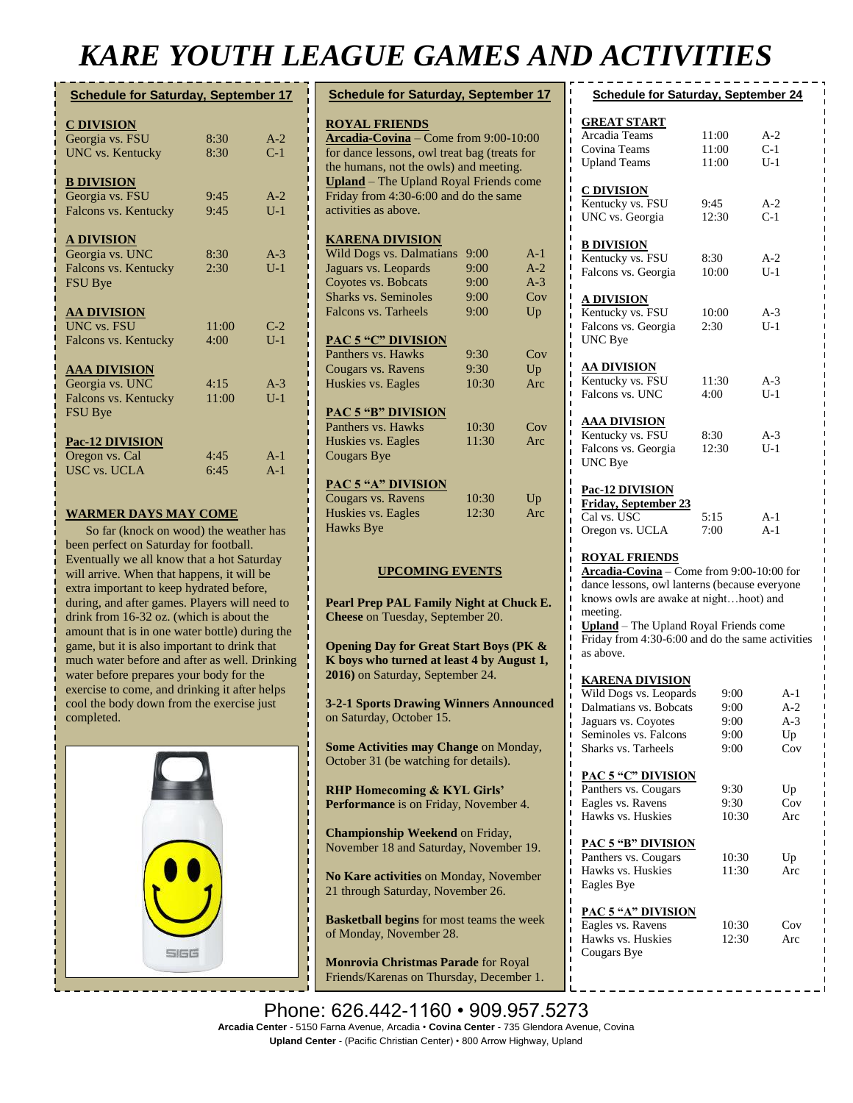## *KARE YOUTH LEAGUE GAMES AND ACTIVITIES*

| <b>C DIVISION</b><br>Georgia vs. FSU<br>$A-2$<br>8:30<br>$C-1$<br><b>UNC</b> vs. Kentucky<br>8:30<br><b>B DIVISION</b><br>Georgia vs. FSU<br>9:45<br>$A-2$<br>Falcons vs. Kentucky<br>9:45<br>$U-1$<br><b>A DIVISION</b><br>Georgia vs. UNC<br>8:30<br>$A-3$<br>Falcons vs. Kentucky<br>$U-1$<br>2:30<br><b>FSU Bye</b><br><b>AA DIVISION</b><br><b>UNC</b> vs. FSU<br>11:00<br>$C-2$ |
|---------------------------------------------------------------------------------------------------------------------------------------------------------------------------------------------------------------------------------------------------------------------------------------------------------------------------------------------------------------------------------------|
|                                                                                                                                                                                                                                                                                                                                                                                       |
|                                                                                                                                                                                                                                                                                                                                                                                       |
|                                                                                                                                                                                                                                                                                                                                                                                       |
|                                                                                                                                                                                                                                                                                                                                                                                       |
|                                                                                                                                                                                                                                                                                                                                                                                       |
|                                                                                                                                                                                                                                                                                                                                                                                       |
|                                                                                                                                                                                                                                                                                                                                                                                       |
|                                                                                                                                                                                                                                                                                                                                                                                       |
|                                                                                                                                                                                                                                                                                                                                                                                       |
|                                                                                                                                                                                                                                                                                                                                                                                       |
|                                                                                                                                                                                                                                                                                                                                                                                       |
|                                                                                                                                                                                                                                                                                                                                                                                       |
| $U-1$<br>Falcons vs. Kentucky<br>4:00                                                                                                                                                                                                                                                                                                                                                 |
| <b>AAA DIVISION</b>                                                                                                                                                                                                                                                                                                                                                                   |
| Georgia vs. UNC<br>4:15<br>$A-3$                                                                                                                                                                                                                                                                                                                                                      |
| Falcons vs. Kentucky<br>11:00<br>$U-1$                                                                                                                                                                                                                                                                                                                                                |
| <b>FSU Bye</b>                                                                                                                                                                                                                                                                                                                                                                        |
| <b>Pac-12 DIVISION</b>                                                                                                                                                                                                                                                                                                                                                                |
| Oregon vs. Cal<br>4:45<br>$A-1$                                                                                                                                                                                                                                                                                                                                                       |
| <b>USC vs. UCLA</b><br>$A-1$<br>6:45                                                                                                                                                                                                                                                                                                                                                  |

#### **WARMER DAYS MAY COME**

So far (knock on wood) the weather has been perfect on Saturday for football. Eventually we all know that a hot Saturday will arrive. When that happens, it will be extra important to keep hydrated before, during, and after games. Players will need to drink from 16-32 oz. (which is about the amount that is in one water bottle) during the game, but it is also important to drink that much water before and after as well. Drinking water before prepares your body for the exercise to come, and drinking it after helps cool the body down from the exercise just completed.



| <b>Schedule for Saturday, September 17</b>                    |       |       |  |  |
|---------------------------------------------------------------|-------|-------|--|--|
|                                                               |       |       |  |  |
| <b>ROYAL FRIENDS</b><br>Arcadia-Covina - Come from 9:00-10:00 |       |       |  |  |
| for dance lessons, owl treat bag (treats for                  |       |       |  |  |
| the humans, not the owls) and meeting.                        |       |       |  |  |
| <b>Upland</b> - The Upland Royal Friends come                 |       |       |  |  |
| Friday from 4:30-6:00 and do the same                         |       |       |  |  |
| activities as above.                                          |       |       |  |  |
|                                                               |       |       |  |  |
| <b>KARENA DIVISION</b>                                        |       |       |  |  |
| <b>Wild Dogs vs. Dalmatians</b>                               | 9:00  | $A-1$ |  |  |
| Jaguars vs. Leopards                                          | 9:00  | $A-2$ |  |  |
| Coyotes vs. Bobcats                                           | 9:00  | $A-3$ |  |  |
| <b>Sharks vs. Seminoles</b>                                   | 9:00  | Cov   |  |  |
| <b>Falcons vs. Tarheels</b>                                   | 9:00  | Up    |  |  |
|                                                               |       |       |  |  |
| <b>PAC 5 "C" DIVISION</b>                                     |       |       |  |  |
| Panthers vs. Hawks                                            | 9:30  | Cov   |  |  |
| Cougars vs. Ravens                                            | 9:30  | Up    |  |  |
| Huskies vs. Eagles                                            | 10:30 | Arc   |  |  |
|                                                               |       |       |  |  |
| <b>PAC 5 "B" DIVISION</b>                                     |       |       |  |  |
| Panthers vs. Hawks                                            | 10:30 | Cov   |  |  |
| Huskies vs. Eagles<br><b>Cougars Bye</b>                      | 11:30 | Arc   |  |  |
|                                                               |       |       |  |  |
| <b>PAC 5 "A" DIVISION</b>                                     |       |       |  |  |
| Cougars vs. Ravens                                            | 10:30 | Up    |  |  |
| Huskies vs. Eagles                                            | 12:30 | Arc   |  |  |
| <b>Hawks Bye</b>                                              |       |       |  |  |
|                                                               |       |       |  |  |
|                                                               |       |       |  |  |
| <b>UPCOMING EVENTS</b>                                        |       |       |  |  |
|                                                               |       |       |  |  |
| Pearl Prep PAL Family Night at Chuck E.                       |       |       |  |  |
| Cheese on Tuesday, September 20.                              |       |       |  |  |
|                                                               |       |       |  |  |
| <b>Opening Day for Great Start Boys (PK &amp;</b>             |       |       |  |  |
| K boys who turned at least 4 by August 1,                     |       |       |  |  |
| 2016) on Saturday, September 24.                              |       |       |  |  |
|                                                               |       |       |  |  |
| <b>3-2-1 Sports Drawing Winners Announced</b>                 |       |       |  |  |
| on Saturday, October 15.                                      |       |       |  |  |
|                                                               |       |       |  |  |

**Some Activities may Change on Monday,** October 31 (be watching for details).

**RHP Homecoming & KYL Girls' Performance** is on Friday, November 4.

**Championship Weekend** on Friday, November 18 and Saturday, November 19.

**No Kare activities** on Monday, November 21 through Saturday, November 26.

**Basketball begins** for most teams the week of Monday, November 28.

**Monrovia Christmas Parade** for Royal Friends/Karenas on Thursday, December 1.

| <b>Schedule for Saturday, September 24</b>                                                                                                                                                                                                                                          |                |                |  |
|-------------------------------------------------------------------------------------------------------------------------------------------------------------------------------------------------------------------------------------------------------------------------------------|----------------|----------------|--|
| <b>GREAT START</b>                                                                                                                                                                                                                                                                  |                |                |  |
| Arcadia Teams<br>Covina Teams                                                                                                                                                                                                                                                       | 11:00<br>11:00 | A-2<br>$C-1$   |  |
| <b>Upland Teams</b>                                                                                                                                                                                                                                                                 | 11:00          | $U-1$          |  |
| <b>C DIVISION</b>                                                                                                                                                                                                                                                                   |                |                |  |
| Kentucky vs. FSU<br>UNC vs. Georgia                                                                                                                                                                                                                                                 | 9:45<br>12:30  | $A-2$<br>$C-1$ |  |
| <b>B DIVISION</b>                                                                                                                                                                                                                                                                   |                |                |  |
| Kentucky vs. FSU                                                                                                                                                                                                                                                                    | 8:30           | A-2            |  |
| Falcons vs. Georgia                                                                                                                                                                                                                                                                 | 10:00          | $U-1$          |  |
| <b>A DIVISION</b><br>Kentucky vs. FSU                                                                                                                                                                                                                                               | 10:00          | A-3            |  |
| Falcons vs. Georgia                                                                                                                                                                                                                                                                 | 2:30           | $U-1$          |  |
| <b>UNC</b> Bye                                                                                                                                                                                                                                                                      |                |                |  |
| <u>AA DIVISION</u><br>Kentucky vs. FSU                                                                                                                                                                                                                                              | 11:30          | A-3            |  |
| Falcons vs. UNC                                                                                                                                                                                                                                                                     | 4:00           | $U-1$          |  |
| <u>AAA DIVISION</u>                                                                                                                                                                                                                                                                 |                |                |  |
| Kentucky vs. FSU                                                                                                                                                                                                                                                                    | 8:30           | $A-3$          |  |
| Falcons vs. Georgia<br><b>UNC</b> Bye                                                                                                                                                                                                                                               | 12:30          | $U-1$          |  |
| <b>Pac-12 DIVISION</b>                                                                                                                                                                                                                                                              |                |                |  |
| Friday, September 23                                                                                                                                                                                                                                                                |                |                |  |
| Cal vs. USC<br>Oregon vs. UCLA                                                                                                                                                                                                                                                      | 5:15<br>7:00   | $A-1$<br>$A-1$ |  |
| <b>ROYAL FRIENDS</b><br>Arcadia-Covina - Come from 9:00-10:00 for<br>dance lessons, owl lanterns (because everyone<br>knows owls are awake at nighthoot) and<br>meeting.<br>Upland - The Upland Royal Friends come<br>Friday from 4:30-6:00 and do the same activities<br>as above. |                |                |  |
| <b>KARENA DIVISION</b>                                                                                                                                                                                                                                                              |                |                |  |
| Wild Dogs vs. Leopards<br>Dalmatians vs. Bobcats                                                                                                                                                                                                                                    | 9:00<br>9:00   | $A-1$<br>$A-2$ |  |
| Jaguars vs. Coyotes                                                                                                                                                                                                                                                                 | 9:00           | $A-3$          |  |
| Seminoles vs. Falcons<br>Sharks vs. Tarheels                                                                                                                                                                                                                                        | 9:00<br>9:00   | Up<br>Cov      |  |
|                                                                                                                                                                                                                                                                                     |                |                |  |
| <b>PAC 5 "C" DIVISION</b><br>I<br>Panthers vs. Cougars                                                                                                                                                                                                                              | 9:30           | Up             |  |
| Eagles vs. Ravens<br>ı                                                                                                                                                                                                                                                              | 9:30           | Cov            |  |
| Hawks vs. Huskies<br>ı                                                                                                                                                                                                                                                              | 10:30          | Arc            |  |
| I<br><b>PAC 5 "B" DIVISION</b><br>Panthers vs. Cougars                                                                                                                                                                                                                              | 10:30          | Up             |  |
| Hawks vs. Huskies<br>ı                                                                                                                                                                                                                                                              | 11:30          | Arc            |  |
| Eagles Bye                                                                                                                                                                                                                                                                          |                |                |  |
| <b>PAC 5 "A" DIVISION</b>                                                                                                                                                                                                                                                           |                |                |  |
| Eagles vs. Ravens<br>Hawks vs. Huskies                                                                                                                                                                                                                                              | 10:30<br>12:30 | Cov<br>Arc     |  |
| Cougars Bye                                                                                                                                                                                                                                                                         |                |                |  |

Phone: 626.442-1160 • 909.957.5273 Arcadia Center - 5150 Farna Avenue, Arcadia • Covina Center - 735 Glendora Avenue, Covina **Upland Center** - (Pacific Christian Center) • 800 Arrow Highway, Upland